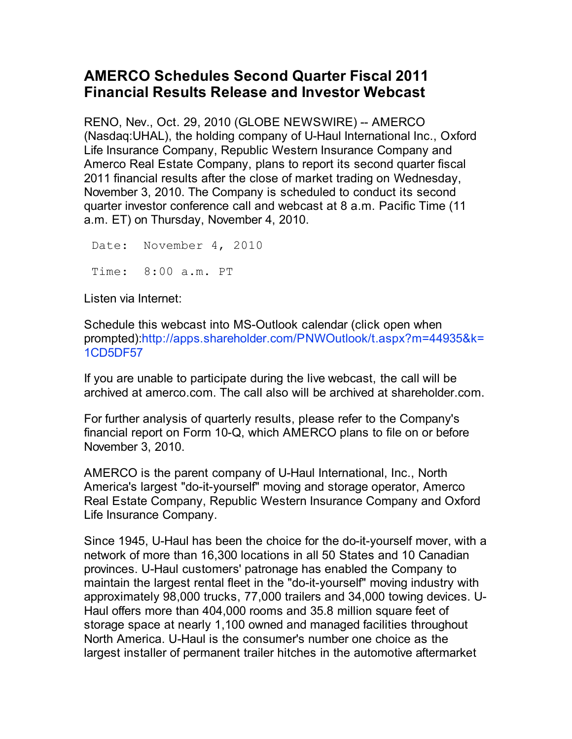## **AMERCO Schedules Second Quarter Fiscal 2011 Financial Results Release and Investor Webcast**

RENO, Nev., Oct. 29, 2010 (GLOBE NEWSWIRE) -- AMERCO (Nasdaq:UHAL), the holding company of U-Haul International Inc., Oxford Life Insurance Company, Republic Western Insurance Company and Amerco Real Estate Company, plans to report its second quarter fiscal 2011 financial results after the close of market trading on Wednesday, November 3, 2010. The Company is scheduled to conduct its second quarter investor conference call and webcast at 8 a.m. Pacific Time (11 a.m. ET) on Thursday, November 4, 2010.

 Date: November 4, 2010 Time: 8:00 a.m. PT

Listen via Internet:

Schedule this webcast into MS-Outlook calendar (click open when prompted):http://apps.shareholder.com/PNWOutlook/t.aspx?m=44935&k= 1CD5DF57

If you are unable to participate during the live webcast, the call will be archived at amerco.com. The call also will be archived at shareholder.com.

For further analysis of quarterly results, please refer to the Company's financial report on Form 10-Q, which AMERCO plans to file on or before November 3, 2010.

AMERCO is the parent company of U-Haul International, Inc., North America's largest "do-it-yourself" moving and storage operator, Amerco Real Estate Company, Republic Western Insurance Company and Oxford Life Insurance Company.

Since 1945, U-Haul has been the choice for the do-it-yourself mover, with a network of more than 16,300 locations in all 50 States and 10 Canadian provinces. U-Haul customers' patronage has enabled the Company to maintain the largest rental fleet in the "do-it-yourself" moving industry with approximately 98,000 trucks, 77,000 trailers and 34,000 towing devices. U-Haul offers more than 404,000 rooms and 35.8 million square feet of storage space at nearly 1,100 owned and managed facilities throughout North America. U-Haul is the consumer's number one choice as the largest installer of permanent trailer hitches in the automotive aftermarket